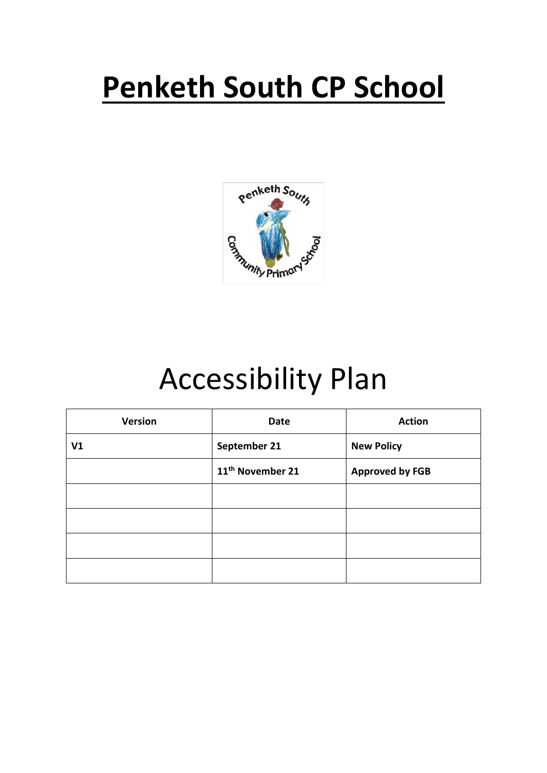# **Penketh South CP School**



# Accessibility Plan

| Version        | <b>Date</b>                  | <b>Action</b>          |
|----------------|------------------------------|------------------------|
| V <sub>1</sub> | September 21                 | <b>New Policy</b>      |
|                | 11 <sup>th</sup> November 21 | <b>Approved by FGB</b> |
|                |                              |                        |
|                |                              |                        |
|                |                              |                        |
|                |                              |                        |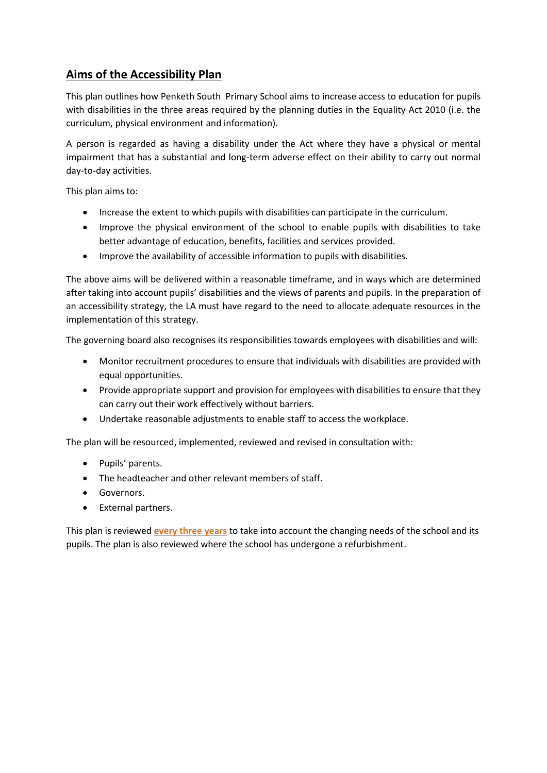## **Aims of the Accessibility Plan**

This plan outlines how Penketh South Primary School aims to increase access to education for pupils with disabilities in the three areas required by the planning duties in the Equality Act 2010 (i.e. the curriculum, physical environment and information).

A person is regarded as having a disability under the Act where they have a physical or mental impairment that has a substantial and long-term adverse effect on their ability to carry out normal day-to-day activities.

This plan aims to:

- Increase the extent to which pupils with disabilities can participate in the curriculum.
- Improve the physical environment of the school to enable pupils with disabilities to take better advantage of education, benefits, facilities and services provided.
- Improve the availability of accessible information to pupils with disabilities.

The above aims will be delivered within a reasonable timeframe, and in ways which are determined after taking into account pupils' disabilities and the views of parents and pupils. In the preparation of an accessibility strategy, the LA must have regard to the need to allocate adequate resources in the implementation of this strategy.

The governing board also recognises its responsibilities towards employees with disabilities and will:

- Monitor recruitment procedures to ensure that individuals with disabilities are provided with equal opportunities.
- Provide appropriate support and provision for employees with disabilities to ensure that they can carry out their work effectively without barriers.
- Undertake reasonable adjustments to enable staff to access the workplace.

The plan will be resourced, implemented, reviewed and revised in consultation with:

- Pupils' parents.
- The headteacher and other relevant members of staff.
- Governors.
- External partners.

This plan is reviewed **every three years** to take into account the changing needs of the school and its pupils. The plan is also reviewed where the school has undergone a refurbishment.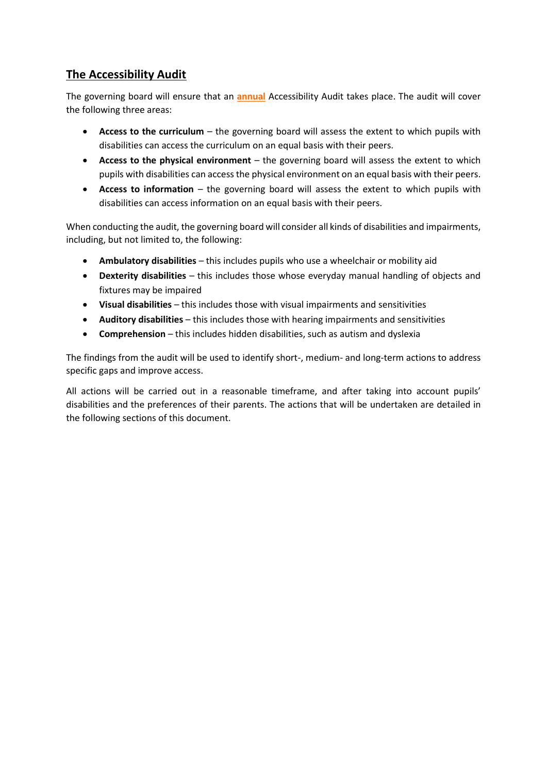# **The Accessibility Audit**

The governing board will ensure that an **annual** Accessibility Audit takes place. The audit will cover the following three areas:

- **Access to the curriculum**  the governing board will assess the extent to which pupils with disabilities can access the curriculum on an equal basis with their peers.
- **Access to the physical environment**  the governing board will assess the extent to which pupils with disabilities can access the physical environment on an equal basis with their peers.
- **Access to information**  the governing board will assess the extent to which pupils with disabilities can access information on an equal basis with their peers.

When conducting the audit, the governing board will consider all kinds of disabilities and impairments, including, but not limited to, the following:

- **Ambulatory disabilities**  this includes pupils who use a wheelchair or mobility aid
- **Dexterity disabilities**  this includes those whose everyday manual handling of objects and fixtures may be impaired
- **Visual disabilities**  this includes those with visual impairments and sensitivities
- **Auditory disabilities**  this includes those with hearing impairments and sensitivities
- **Comprehension** this includes hidden disabilities, such as autism and dyslexia

The findings from the audit will be used to identify short-, medium- and long-term actions to address specific gaps and improve access.

All actions will be carried out in a reasonable timeframe, and after taking into account pupils' disabilities and the preferences of their parents. The actions that will be undertaken are detailed in the following sections of this document.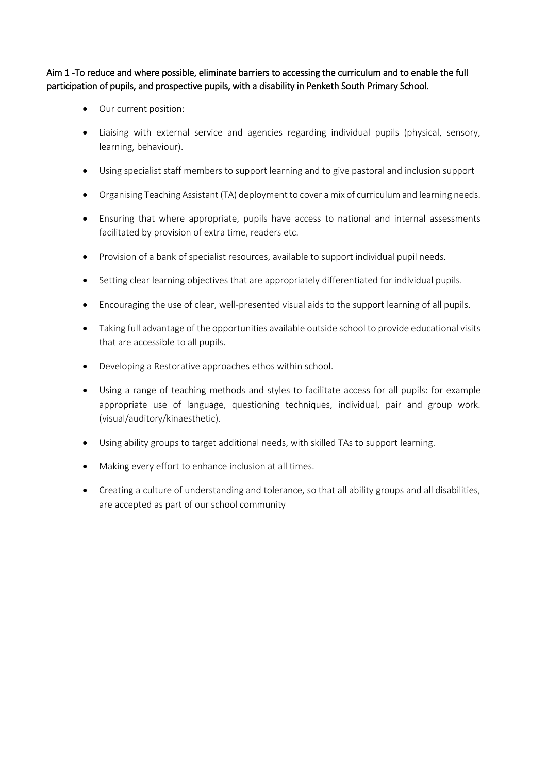## Aim 1 -To reduce and where possible, eliminate barriers to accessing the curriculum and to enable the full participation of pupils, and prospective pupils, with a disability in Penketh South Primary School.

- Our current position:
- Liaising with external service and agencies regarding individual pupils (physical, sensory, learning, behaviour).
- Using specialist staff members to support learning and to give pastoral and inclusion support
- Organising Teaching Assistant (TA) deployment to cover a mix of curriculum and learning needs.
- Ensuring that where appropriate, pupils have access to national and internal assessments facilitated by provision of extra time, readers etc.
- Provision of a bank of specialist resources, available to support individual pupil needs.
- Setting clear learning objectives that are appropriately differentiated for individual pupils.
- Encouraging the use of clear, well-presented visual aids to the support learning of all pupils.
- Taking full advantage of the opportunities available outside school to provide educational visits that are accessible to all pupils.
- Developing a Restorative approaches ethos within school.
- Using a range of teaching methods and styles to facilitate access for all pupils: for example appropriate use of language, questioning techniques, individual, pair and group work. (visual/auditory/kinaesthetic).
- Using ability groups to target additional needs, with skilled TAs to support learning.
- Making every effort to enhance inclusion at all times.
- Creating a culture of understanding and tolerance, so that all ability groups and all disabilities, are accepted as part of our school community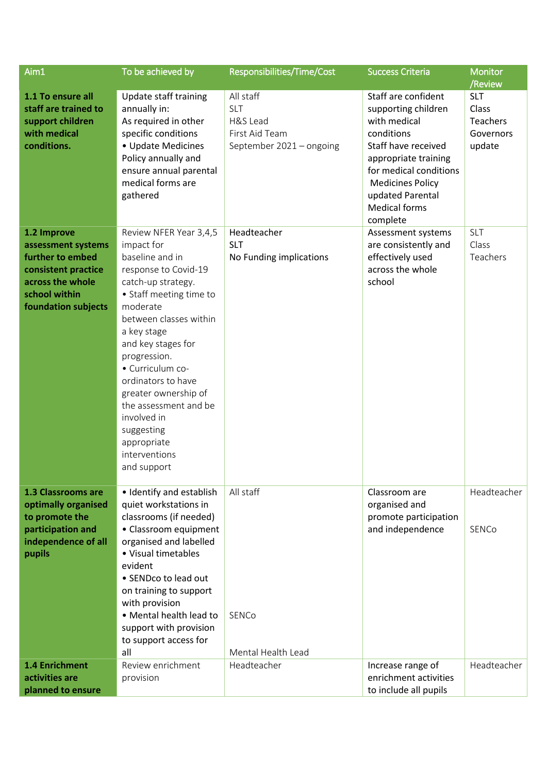| Aim1                                                                                                                                     | To be achieved by                                                                                                                                                                                                                                                                                                                                                                                  | Responsibilities/Time/Cost                                                        | <b>Success Criteria</b>                                                                                                                                                                                                              | <b>Monitor</b>                                                |
|------------------------------------------------------------------------------------------------------------------------------------------|----------------------------------------------------------------------------------------------------------------------------------------------------------------------------------------------------------------------------------------------------------------------------------------------------------------------------------------------------------------------------------------------------|-----------------------------------------------------------------------------------|--------------------------------------------------------------------------------------------------------------------------------------------------------------------------------------------------------------------------------------|---------------------------------------------------------------|
|                                                                                                                                          |                                                                                                                                                                                                                                                                                                                                                                                                    |                                                                                   |                                                                                                                                                                                                                                      | /Review                                                       |
| 1.1 To ensure all<br>staff are trained to<br>support children<br>with medical<br>conditions.                                             | Update staff training<br>annually in:<br>As required in other<br>specific conditions<br>• Update Medicines<br>Policy annually and<br>ensure annual parental<br>medical forms are<br>gathered                                                                                                                                                                                                       | All staff<br><b>SLT</b><br>H&S Lead<br>First Aid Team<br>September 2021 - ongoing | Staff are confident<br>supporting children<br>with medical<br>conditions<br>Staff have received<br>appropriate training<br>for medical conditions<br><b>Medicines Policy</b><br>updated Parental<br><b>Medical forms</b><br>complete | <b>SLT</b><br>Class<br><b>Teachers</b><br>Governors<br>update |
| 1.2 Improve<br>assessment systems<br>further to embed<br>consistent practice<br>across the whole<br>school within<br>foundation subjects | Review NFER Year 3,4,5<br>impact for<br>baseline and in<br>response to Covid-19<br>catch-up strategy.<br>• Staff meeting time to<br>moderate<br>between classes within<br>a key stage<br>and key stages for<br>progression.<br>• Curriculum co-<br>ordinators to have<br>greater ownership of<br>the assessment and be<br>involved in<br>suggesting<br>appropriate<br>interventions<br>and support | Headteacher<br><b>SLT</b><br>No Funding implications                              | Assessment systems<br>are consistently and<br>effectively used<br>across the whole<br>school                                                                                                                                         | <b>SLT</b><br>Class<br>Teachers                               |
| 1.3 Classrooms are<br>optimally organised<br>to promote the<br>participation and<br>independence of all<br>pupils                        | • Identify and establish<br>quiet workstations in<br>classrooms (if needed)<br>• Classroom equipment<br>organised and labelled<br>• Visual timetables<br>evident<br>• SENDco to lead out<br>on training to support<br>with provision<br>• Mental health lead to<br>support with provision<br>to support access for<br>all                                                                          | All staff<br>SENCo<br>Mental Health Lead                                          | Classroom are<br>organised and<br>promote participation<br>and independence                                                                                                                                                          | Headteacher<br>SENCo                                          |
| 1.4 Enrichment                                                                                                                           | Review enrichment                                                                                                                                                                                                                                                                                                                                                                                  | Headteacher                                                                       | Increase range of                                                                                                                                                                                                                    | Headteacher                                                   |
| activities are                                                                                                                           | provision                                                                                                                                                                                                                                                                                                                                                                                          |                                                                                   | enrichment activities                                                                                                                                                                                                                |                                                               |
| planned to ensure                                                                                                                        |                                                                                                                                                                                                                                                                                                                                                                                                    |                                                                                   | to include all pupils                                                                                                                                                                                                                |                                                               |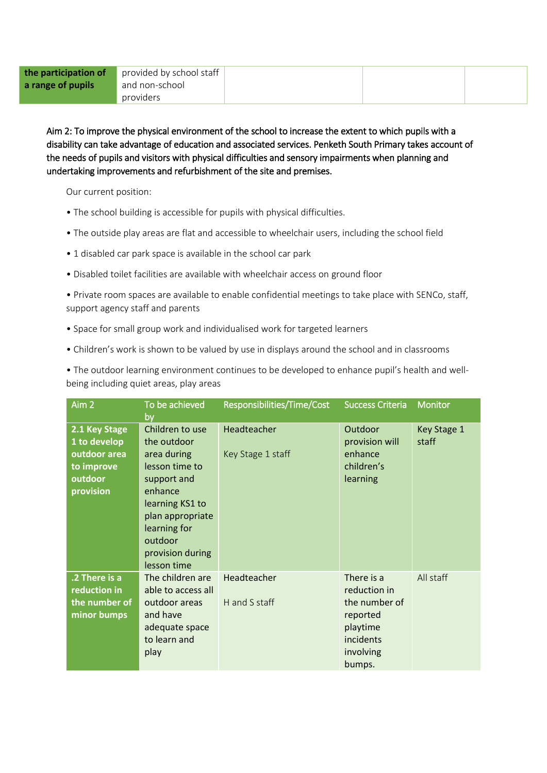Aim 2: To improve the physical environment of the school to increase the extent to which pupils with a disability can take advantage of education and associated services. Penketh South Primary takes account of the needs of pupils and visitors with physical difficulties and sensory impairments when planning and undertaking improvements and refurbishment of the site and premises.

Our current position:

- The school building is accessible for pupils with physical difficulties.
- The outside play areas are flat and accessible to wheelchair users, including the school field
- 1 disabled car park space is available in the school car park
- Disabled toilet facilities are available with wheelchair access on ground floor
- Private room spaces are available to enable confidential meetings to take place with SENCo, staff, support agency staff and parents
- Space for small group work and individualised work for targeted learners
- Children's work is shown to be valued by use in displays around the school and in classrooms
- The outdoor learning environment continues to be developed to enhance pupil's health and wellbeing including quiet areas, play areas

| $\overline{A}$ im 2                                                                 | To be achieved<br>by                                                                                                                                                                           | Responsibilities/Time/Cost       | <b>Success Criteria</b>                                                                                 | <b>Monitor</b>       |
|-------------------------------------------------------------------------------------|------------------------------------------------------------------------------------------------------------------------------------------------------------------------------------------------|----------------------------------|---------------------------------------------------------------------------------------------------------|----------------------|
| 2.1 Key Stage<br>1 to develop<br>outdoor area<br>to improve<br>outdoor<br>provision | Children to use<br>the outdoor<br>area during<br>lesson time to<br>support and<br>enhance<br>learning KS1 to<br>plan appropriate<br>learning for<br>outdoor<br>provision during<br>lesson time | Headteacher<br>Key Stage 1 staff | Outdoor<br>provision will<br>enhance<br>children's<br>learning                                          | Key Stage 1<br>staff |
| .2 There is a<br>reduction in<br>the number of<br>minor bumps                       | The children are<br>able to access all<br>outdoor areas<br>and have<br>adequate space<br>to learn and<br>play                                                                                  | Headteacher<br>H and S staff     | There is a<br>reduction in<br>the number of<br>reported<br>playtime<br>incidents<br>involving<br>bumps. | All staff            |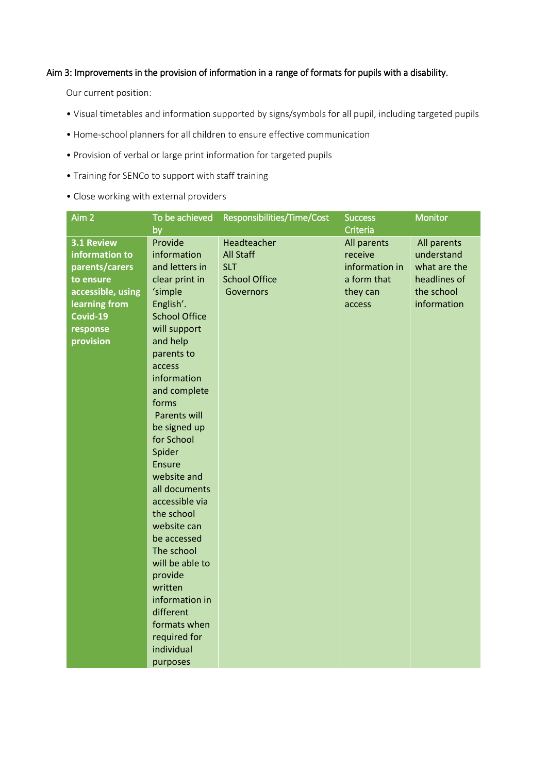### Aim 3: Improvements in the provision of information in a range of formats for pupils with a disability.

Our current position:

- Visual timetables and information supported by signs/symbols for all pupil, including targeted pupils
- Home-school planners for all children to ensure effective communication
- Provision of verbal or large print information for targeted pupils
- Training for SENCo to support with staff training
- Close working with external providers

| Aim <sub>2</sub>  | To be achieved        | Responsibilities/Time/Cost | <b>Success</b> | Monitor      |
|-------------------|-----------------------|----------------------------|----------------|--------------|
|                   | by                    |                            | Criteria       |              |
| 3.1 Review        | Provide               | Headteacher                | All parents    | All parents  |
| information to    | information           | <b>All Staff</b>           | receive        | understand   |
| parents/carers    | and letters in        | <b>SLT</b>                 | information in | what are the |
| to ensure         | clear print in        | <b>School Office</b>       | a form that    | headlines of |
| accessible, using | 'simple               | Governors                  | they can       | the school   |
| learning from     | English'.             |                            | access         | information  |
| Covid-19          | <b>School Office</b>  |                            |                |              |
| response          | will support          |                            |                |              |
| provision         | and help              |                            |                |              |
|                   | parents to            |                            |                |              |
|                   | access                |                            |                |              |
|                   | information           |                            |                |              |
|                   | and complete          |                            |                |              |
|                   | forms                 |                            |                |              |
|                   | <b>Parents will</b>   |                            |                |              |
|                   | be signed up          |                            |                |              |
|                   | for School            |                            |                |              |
|                   | Spider                |                            |                |              |
|                   | Ensure<br>website and |                            |                |              |
|                   | all documents         |                            |                |              |
|                   | accessible via        |                            |                |              |
|                   | the school            |                            |                |              |
|                   | website can           |                            |                |              |
|                   | be accessed           |                            |                |              |
|                   | The school            |                            |                |              |
|                   | will be able to       |                            |                |              |
|                   | provide               |                            |                |              |
|                   | written               |                            |                |              |
|                   | information in        |                            |                |              |
|                   | different             |                            |                |              |
|                   | formats when          |                            |                |              |
|                   | required for          |                            |                |              |
|                   | individual            |                            |                |              |
|                   | purposes              |                            |                |              |